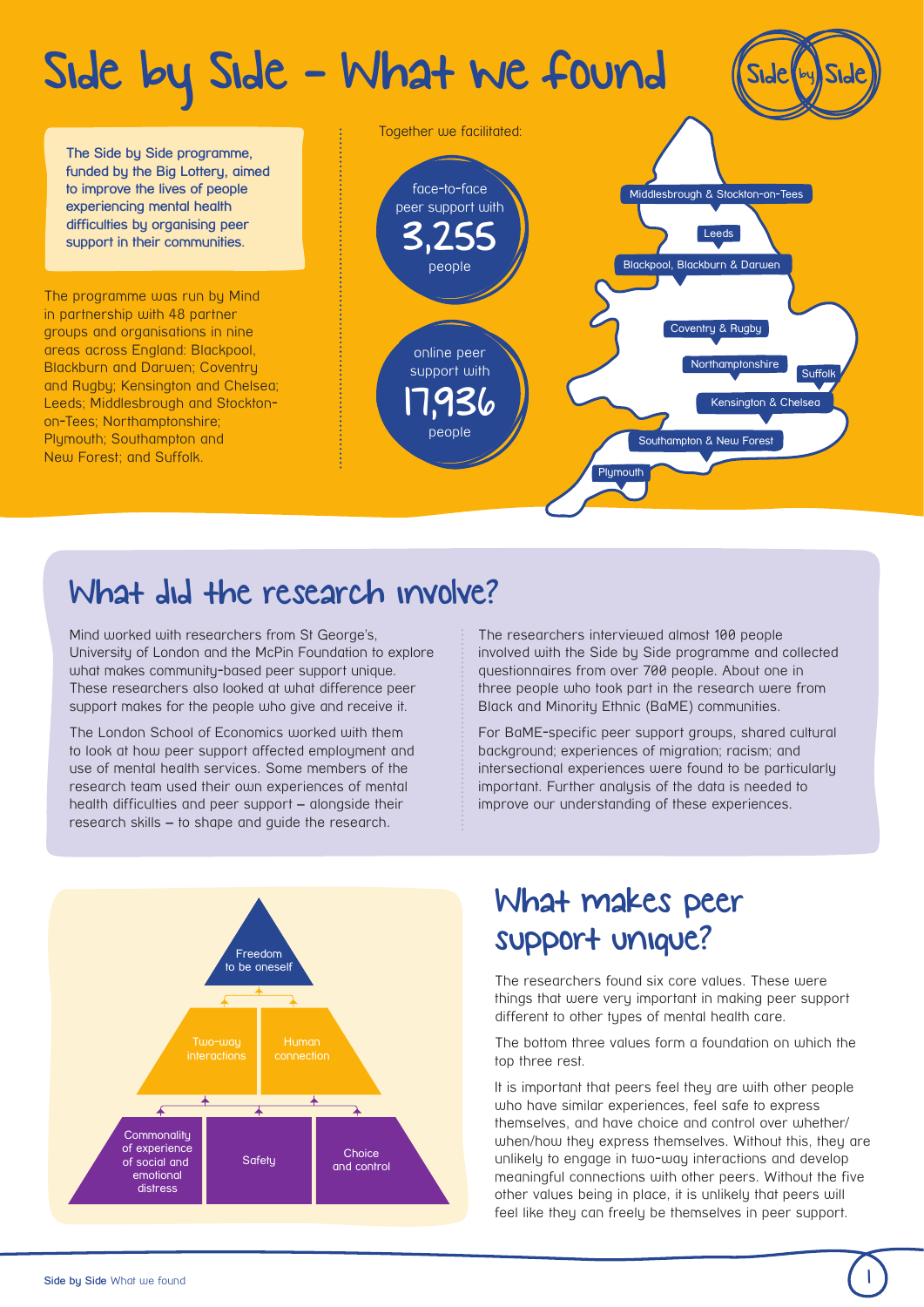## Side by Side - What we found

**The Side by Side programme, funded by the Big Lottery, aimed to improve the lives of people experiencing mental health difficulties by organising peer support in their communities.** 

The programme was run by Mind in partnership with 48 partner groups and organisations in nine areas across England: Blackpool, Blackburn and Darwen; Coventry and Rugby; Kensington and Chelsea; Leeds; Middlesbrough and Stocktonon-Tees; Northamptonshire; Plymouth: Southampton and New Forest; and Suffolk.



## What did the research involve?

Mind worked with researchers from St George's, University of London and the McPin Foundation to explore what makes community-based peer support unique. These researchers also looked at what difference peer support makes for the people who give and receive it.

The London School of Economics worked with them to look at how peer support affected employment and use of mental health services. Some members of the research team used their own experiences of mental health difficulties and peer support – alongside their research skills – to shape and guide the research.

The researchers interviewed almost 100 people involved with the Side by Side programme and collected questionnaires from over 700 people. About one in three people who took part in the research were from Black and Minority Ethnic (BaME) communities.

For BaME-specific peer support groups, shared cultural background; experiences of migration; racism; and intersectional experiences were found to be particularly important. Further analysis of the data is needed to improve our understanding of these experiences.



## What makes peer support unique?

The researchers found six core values. These were things that were very important in making peer support different to other types of mental health care.

The bottom three values form a foundation on which the top three rest.

It is important that peers feel they are with other people who have similar experiences, feel safe to express themselves, and have choice and control over whether/ when/how they express themselves. Without this, they are unlikely to engage in two-way interactions and develop meaningful connections with other peers. Without the five other values being in place, it is unlikely that peers will feel like they can freely be themselves in peer support.